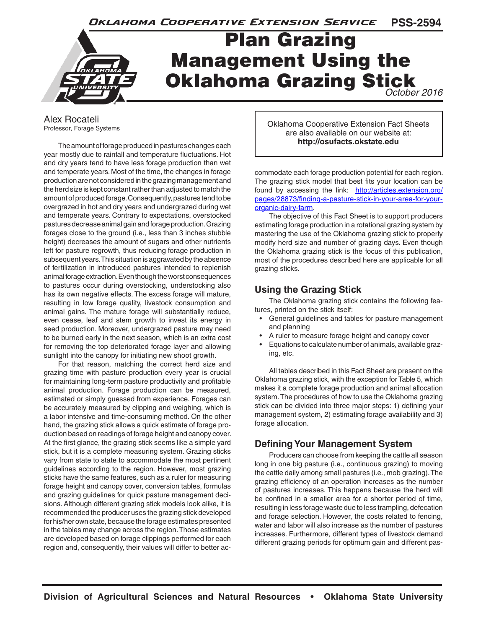

# Plan Grazing Management Using the Oklahoma Grazing Stick

*October 2016*

Alex Rocateli Professor, Forage Systems

The amount of forage produced in pastures changes each year mostly due to rainfall and temperature fluctuations. Hot and dry years tend to have less forage production than wet and temperate years. Most of the time, the changes in forage production are not considered in the grazing management and the herd size is kept constant rather than adjusted to match the amount of produced forage. Consequently, pastures tend to be overgrazed in hot and dry years and undergrazed during wet and temperate years. Contrary to expectations, overstocked pastures decrease animal gain and forage production. Grazing forages close to the ground (i.e., less than 3 inches stubble height) decreases the amount of sugars and other nutrients left for pasture regrowth, thus reducing forage production in subsequent years. This situation is aggravated by the absence of fertilization in introduced pastures intended to replenish animal forage extraction. Even though the worst consequences to pastures occur during overstocking, understocking also has its own negative effects. The excess forage will mature, resulting in low forage quality, livestock consumption and animal gains. The mature forage will substantially reduce, even cease, leaf and stem growth to invest its energy in seed production. Moreover, undergrazed pasture may need to be burned early in the next season, which is an extra cost for removing the top deteriorated forage layer and allowing sunlight into the canopy for initiating new shoot growth.

For that reason, matching the correct herd size and grazing time with pasture production every year is crucial for maintaining long-term pasture productivity and profitable animal production. Forage production can be measured, estimated or simply guessed from experience. Forages can be accurately measured by clipping and weighing, which is a labor intensive and time-consuming method. On the other hand, the grazing stick allows a quick estimate of forage production based on readings of forage height and canopy cover. At the first glance, the grazing stick seems like a simple yard stick, but it is a complete measuring system. Grazing sticks vary from state to state to accommodate the most pertinent guidelines according to the region. However, most grazing sticks have the same features, such as a ruler for measuring forage height and canopy cover, conversion tables, formulas and grazing guidelines for quick pasture management decisions. Although different grazing stick models look alike, it is recommended the producer uses the grazing stick developed for his/her own state, because the forage estimates presented in the tables may change across the region. Those estimates are developed based on forage clippings performed for each region and, consequently, their values will differ to better acOklahoma Cooperative Extension Fact Sheets are also available on our website at: **http://osufacts.okstate.edu**

commodate each forage production potential for each region. The grazing stick model that best fits your location can be found by accessing the link: http://articles.extension.org/ pages/28873/finding-a-pasture-stick-in-your-area-for-yourorganic-dairy-farm.

The objective of this Fact Sheet is to support producers estimating forage production in a rotational grazing system by mastering the use of the Oklahoma grazing stick to properly modify herd size and number of grazing days. Even though the Oklahoma grazing stick is the focus of this publication, most of the procedures described here are applicable for all grazing sticks.

# **Using the Grazing Stick**

The Oklahoma grazing stick contains the following features, printed on the stick itself:

- General guidelines and tables for pasture management and planning
- A ruler to measure forage height and canopy cover
- Equations to calculate number of animals, available grazing, etc.

All tables described in this Fact Sheet are present on the Oklahoma grazing stick, with the exception for Table 5, which makes it a complete forage production and animal allocation system. The procedures of how to use the Oklahoma grazing stick can be divided into three major steps: 1) defining your management system, 2) estimating forage availability and 3) forage allocation.

# **Defining Your Management System**

Producers can choose from keeping the cattle all season long in one big pasture (i.e., continuous grazing) to moving the cattle daily among small pastures (i.e., mob grazing). The grazing efficiency of an operation increases as the number of pastures increases. This happens because the herd will be confined in a smaller area for a shorter period of time, resulting in less forage waste due to less trampling, defecation and forage selection. However, the costs related to fencing, water and labor will also increase as the number of pastures increases. Furthermore, different types of livestock demand different grazing periods for optimum gain and different pas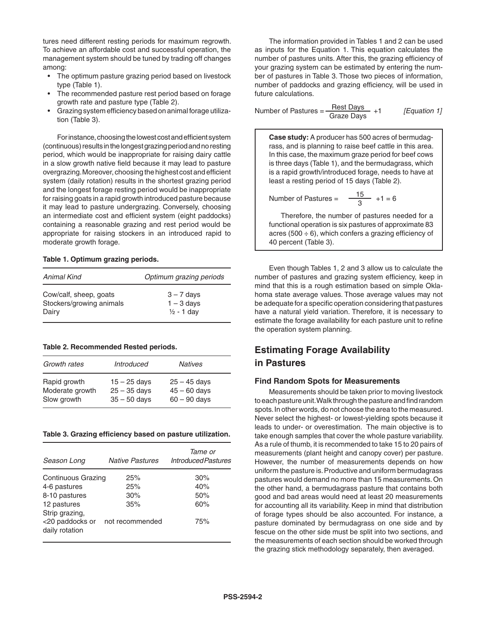tures need different resting periods for maximum regrowth. To achieve an affordable cost and successful operation, the management system should be tuned by trading off changes among:

- The optimum pasture grazing period based on livestock type (Table 1).
- The recommended pasture rest period based on forage growth rate and pasture type (Table 2).
- Grazing system efficiency based on animal forage utilization (Table 3).

For instance, choosing the lowest cost and efficient system (continuous) results in the longest grazing period and no resting period, which would be inappropriate for raising dairy cattle in a slow growth native field because it may lead to pasture overgrazing. Moreover, choosing the highest cost and efficient system (daily rotation) results in the shortest grazing period and the longest forage resting period would be inappropriate for raising goats in a rapid growth introduced pasture because it may lead to pasture undergrazing. Conversely, choosing an intermediate cost and efficient system (eight paddocks) containing a reasonable grazing and rest period would be appropriate for raising stockers in an introduced rapid to moderate growth forage.

#### **Table 1. Optimum grazing periods.**

| Animal Kind              | Optimum grazing periods |
|--------------------------|-------------------------|
| Cow/calf, sheep, goats   | $3 - 7$ days            |
| Stockers/growing animals | $1 - 3$ days            |
| Dairy                    | $1/2 - 1$ day           |

#### **Table 2. Recommended Rested periods.**

| Growth rates                                   | <i><b>Introduced</b></i>                           | <b>Natives</b>                                     |  |
|------------------------------------------------|----------------------------------------------------|----------------------------------------------------|--|
| Rapid growth<br>Moderate growth<br>Slow growth | $15 - 25$ days<br>$25 - 35$ days<br>$35 - 50$ days | $25 - 45$ days<br>$45 - 60$ days<br>$60 - 90$ days |  |

**Table 3. Grazing efficiency based on pasture utilization.**

| Season Long                                         | <b>Native Pastures</b> | <i>Tame or</i><br>Introduced Pastures |
|-----------------------------------------------------|------------------------|---------------------------------------|
| Continuous Grazing                                  | 25%                    | 30%                                   |
| 4-6 pastures                                        | 25%                    | 40%                                   |
| 8-10 pastures                                       | 30%                    | 50%                                   |
| 12 pastures                                         | 35%                    | 60%                                   |
| Strip grazing,<br><20 paddocks or<br>daily rotation | not recommended        | 75%                                   |

The information provided in Tables 1 and 2 can be used as inputs for the Equation 1. This equation calculates the number of pastures units. After this, the grazing efficiency of your grazing system can be estimated by entering the number of pastures in Table 3. Those two pieces of information, number of paddocks and grazing efficiency, will be used in future calculations.

Number of Pastures = 
$$
\frac{\text{Rest Days}}{\text{Graze Days}} + 1
$$
 [Equation 1]

**Case study:** A producer has 500 acres of bermudagrass, and is planning to raise beef cattle in this area. In this case, the maximum graze period for beef cows is three days (Table 1), and the bermudagrass, which is a rapid growth/introduced forage, needs to have at least a resting period of 15 days (Table 2).

Number of Pastures =  $\frac{15}{8}$  +1 = 6

3

Therefore, the number of pastures needed for a functional operation is six pastures of approximate 83 acres (500  $\div$  6), which confers a grazing efficiency of 40 percent (Table 3).

Even though Tables 1, 2 and 3 allow us to calculate the number of pastures and grazing system efficiency, keep in mind that this is a rough estimation based on simple Oklahoma state average values. Those average values may not be adequate for a specific operation considering that pastures have a natural yield variation. Therefore, it is necessary to estimate the forage availability for each pasture unit to refine the operation system planning.

# **Estimating Forage Availability in Pastures**

#### **Find Random Spots for Measurements**

Measurements should be taken prior to moving livestock to each pasture unit. Walk through the pasture and find random spots. In other words, do not choose the area to the measured. Never select the highest- or lowest-yielding spots because it leads to under- or overestimation. The main objective is to take enough samples that cover the whole pasture variability. As a rule of thumb, it is recommended to take 15 to 20 pairs of measurements (plant height and canopy cover) per pasture. However, the number of measurements depends on how uniform the pasture is. Productive and uniform bermudagrass pastures would demand no more than 15 measurements. On the other hand, a bermudagrass pasture that contains both good and bad areas would need at least 20 measurements for accounting all its variability. Keep in mind that distribution of forage types should be also accounted. For instance, a pasture dominated by bermudagrass on one side and by fescue on the other side must be split into two sections, and the measurements of each section should be worked through the grazing stick methodology separately, then averaged.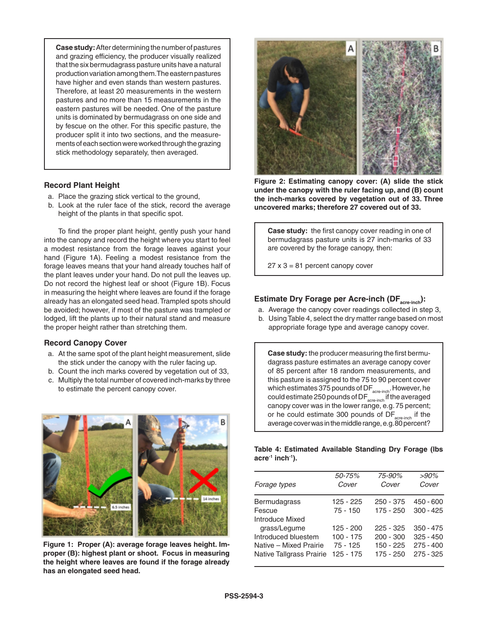**Case study:** After determining the number of pastures and grazing efficiency, the producer visually realized that the six bermudagrass pasture units have a natural production variation among them. The eastern pastures have higher and even stands than western pastures. Therefore, at least 20 measurements in the western pastures and no more than 15 measurements in the eastern pastures will be needed. One of the pasture units is dominated by bermudagrass on one side and by fescue on the other. For this specific pasture, the producer split it into two sections, and the measurements of each section were worked through the grazing stick methodology separately, then averaged.

#### **Record Plant Height**

- a. Place the grazing stick vertical to the ground,
- b. Look at the ruler face of the stick, record the average height of the plants in that specific spot.

To find the proper plant height, gently push your hand into the canopy and record the height where you start to feel a modest resistance from the forage leaves against your hand (Figure 1A). Feeling a modest resistance from the forage leaves means that your hand already touches half of the plant leaves under your hand. Do not pull the leaves up. Do not record the highest leaf or shoot (Figure 1B). Focus in measuring the height where leaves are found if the forage already has an elongated seed head. Trampled spots should be avoided; however, if most of the pasture was trampled or lodged, lift the plants up to their natural stand and measure the proper height rather than stretching them.

#### **Record Canopy Cover**

- a. At the same spot of the plant height measurement, slide the stick under the canopy with the ruler facing up.
- b. Count the inch marks covered by vegetation out of 33,
- c. Multiply the total number of covered inch-marks by three to estimate the percent canopy cover.



**Figure 1: Proper (A): average forage leaves height. Improper (B): highest plant or shoot. Focus in measuring the height where leaves are found if the forage already has an elongated seed head.**



**Figure 2: Estimating canopy cover: (A) slide the stick under the canopy with the ruler facing up, and (B) count the inch-marks covered by vegetation out of 33. Three uncovered marks; therefore 27 covered out of 33.**

**Case study:** the first canopy cover reading in one of bermudagrass pasture units is 27 inch-marks of 33 are covered by the forage canopy, then:

 $27 \times 3 = 81$  percent canopy cover

# Estimate Dry Forage per Acre-inch (DF<sub>acre-inch</sub>):

- a. Average the canopy cover readings collected in step 3,
- b. Using Table 4, select the dry matter range based on most appropriate forage type and average canopy cover.

**Case study:** the producer measuring the first bermudagrass pasture estimates an average canopy cover of 85 percent after 18 random measurements, and this pasture is assigned to the 75 to 90 percent cover which estimates 375 pounds of  $DF_{\text{accept}+new}$ . However, he could estimate 250 pounds of  $DF_{\text{acc-inch}}$  if the averaged canopy cover was in the lower range, e.g. 75 percent; or he could estimate 300 pounds of  $DF_{\text{acc-inch}}$  if the average cover was in the middle range, e.g. 80 percent?

|                                          | Table 4: Estimated Available Standing Dry Forage (Ibs |  |  |  |
|------------------------------------------|-------------------------------------------------------|--|--|--|
| acre <sup>-ı</sup> inch <sup>-ı</sup> ). |                                                       |  |  |  |

| Forage types                    | 50-75%<br>Cover | 75-90%<br>Cover | $>90\%$<br>Cover |
|---------------------------------|-----------------|-----------------|------------------|
| <b>Bermudagrass</b>             | 125 - 225       | $250 - 375$     | 450 - 600        |
| Fescue                          | $75 - 150$      | 175 - 250       | $300 - 425$      |
| Introduce Mixed                 |                 |                 |                  |
| grass/Legume                    | $125 - 200$     | $225 - 325$     | $350 - 475$      |
| Introduced bluestem             | $100 - 175$     | $200 - 300$     | $325 - 450$      |
| Native - Mixed Prairie          | $75 - 125$      | $150 - 225$     | $275 - 400$      |
| <b>Native Tallgrass Prairie</b> | 125 - 175       | 175 - 250       | $275 - 325$      |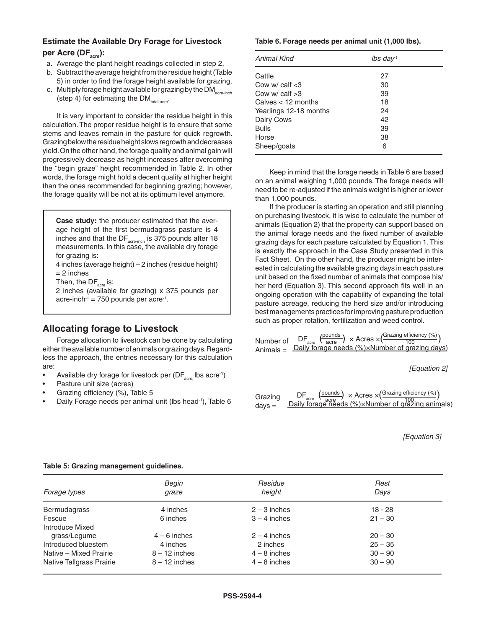### **Estimate the Available Dry Forage for Livestock**  per Acre (DF<sub>acre</sub>):

- a. Average the plant height readings collected in step 2,
- b. Subtract the average height from the residue height (Table 5) in order to find the forage height available for grazing,
- c. Multiply forage height available for grazing by the DM $_{\rm accretoch}$ (step 4) for estimating the  $DM_{total-acre}$ .

It is very important to consider the residue height in this calculation. The proper residue height is to ensure that some stems and leaves remain in the pasture for quick regrowth. Grazing below the residue height slows regrowth and decreases yield. On the other hand, the forage quality and animal gain will progressively decrease as height increases after overcoming the "begin graze" height recommended in Table 2. In other words, the forage might hold a decent quality at higher height than the ones recommended for beginning grazing; however, the forage quality will be not at its optimum level anymore.

**Case study:** the producer estimated that the average height of the first bermudagrass pasture is 4 inches and that the DF $_{\text{acre-inch}}$  is 375 pounds after 18 measurements. In this case, the available dry forage for grazing is: 4 inches (average height) – 2 inches (residue height)  $= 2$  inches Then, the  $DF_{\text{area}}$  is:

2 inches (available for grazing) x 375 pounds per

acre-inch<sup>-1</sup> = 750 pounds per acre<sup>-1</sup>.

### **Allocating forage to Livestock**

Forage allocation to livestock can be done by calculating either the available number of animals or grazing days. Regardless the approach, the entries necessary for this calculation are:

- Available dry forage for livestock per  $(DF_{\text{acc}}$  lbs acre<sup>-1</sup>)
- Pasture unit size (acres)
- Grazing efficiency (%), Table 5
- Daily Forage needs per animal unit (lbs head-1), Table 6

#### **Table 6. Forage needs per animal unit (1,000 lbs).**

| Animal Kind            | $lbs$ day <sup>1</sup> |  |
|------------------------|------------------------|--|
| Cattle                 | 27                     |  |
| Cow $w$ calf $<$ 3     | 30                     |  |
| Cow $w$ calf $>3$      | 39                     |  |
| Calves < 12 months     | 18                     |  |
| Yearlings 12-18 months | 24                     |  |
| Dairy Cows             | 42                     |  |
| <b>Bulls</b>           | 39                     |  |
| Horse                  | 38                     |  |
| Sheep/goats            | 6                      |  |

Keep in mind that the forage needs in Table 6 are based on an animal weighing 1,000 pounds. The forage needs will need to be re-adjusted if the animals weight is higher or lower than 1,000 pounds.

If the producer is starting an operation and still planning on purchasing livestock, it is wise to calculate the number of animals (Equation 2) that the property can support based on the animal forage needs and the fixed number of available grazing days for each pasture calculated by Equation 1. This is exactly the approach in the Case Study presented in this Fact Sheet. On the other hand, the producer might be interested in calculating the available grazing days in each pasture unit based on the fixed number of animals that compose his/ her herd (Equation 3). This second approach fits well in an ongoing operation with the capability of expanding the total pasture acreage, reducing the herd size and/or introducing best managements practices for improving pasture production such as proper rotation, fertilization and weed control.

|           |  | $\mathsf{DF}_{\text{acre}} \xrightarrow{\text{(pounds)}} \times \text{Acres} \times \left( \frac{\text{Grazing efficiency } (\%)}{100} \right)$ |  |
|-----------|--|-------------------------------------------------------------------------------------------------------------------------------------------------|--|
| Number of |  |                                                                                                                                                 |  |
|           |  | Animals = $Daily$ forage needs $(\%) \times Number$ of grazing days)                                                                            |  |

*[Equation 2]*

| Grazing  | $DF_{\text{acc}} \frac{\text{(pounds)}}{\text{acre}} \times \text{Acres} \times \left( \frac{\text{Grazing efficiency } (\%)}{100} \right)$<br>Daily forage needs (%)×Number of grazing animals) |
|----------|--------------------------------------------------------------------------------------------------------------------------------------------------------------------------------------------------|
|          |                                                                                                                                                                                                  |
| $days =$ |                                                                                                                                                                                                  |

*[Equation 3]*

| Forage types             | Begin<br>graze  | Residue<br>height | Rest<br>Davs |
|--------------------------|-----------------|-------------------|--------------|
| Bermudagrass             | 4 inches        | $2 - 3$ inches    | $18 - 28$    |
| Fescue                   | 6 inches        | $3 - 4$ inches    | $21 - 30$    |
| Introduce Mixed          |                 |                   |              |
| grass/Legume             | $4 - 6$ inches  | $2 - 4$ inches    | $20 - 30$    |
| Introduced bluestem      | 4 inches        | 2 inches          | $25 - 35$    |
| Native - Mixed Prairie   | $8 - 12$ inches | $4 - 8$ inches    | $30 - 90$    |
| Native Tallgrass Prairie | $8 - 12$ inches | $4 - 8$ inches    | $30 - 90$    |

#### **Table 5: Grazing management guidelines.**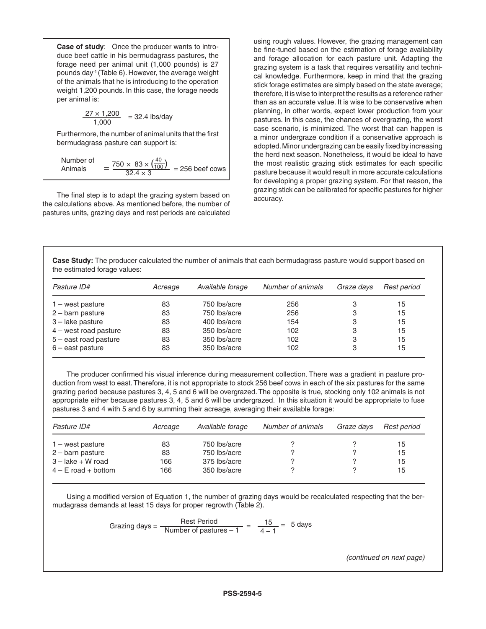**Case of study**: Once the producer wants to introduce beef cattle in his bermudagrass pastures, the forage need per animal unit (1,000 pounds) is 27 pounds day-1 (Table 6). However, the average weight of the animals that he is introducing to the operation weight 1,200 pounds. In this case, the forage needs per animal is:

$$
\frac{27 \times 1,200}{1,000} = 32.4 \text{ lbs/day}
$$

Furthermore, the number of animal units that the first bermudagrass pasture can support is:

Number of  
Animals = 
$$
\frac{750 \times 83 \times \left(\frac{40}{100}\right)}{32.4 \times 3} = 256 \text{ beef cows}
$$

The final step is to adapt the grazing system based on the calculations above. As mentioned before, the number of pastures units, grazing days and rest periods are calculated

using rough values. However, the grazing management can be fine-tuned based on the estimation of forage availability and forage allocation for each pasture unit. Adapting the grazing system is a task that requires versatility and technical knowledge. Furthermore, keep in mind that the grazing stick forage estimates are simply based on the state average; therefore, it is wise to interpret the results as a reference rather than as an accurate value. It is wise to be conservative when planning, in other words, expect lower production from your pastures. In this case, the chances of overgrazing, the worst case scenario, is minimized. The worst that can happen is a minor undergraze condition if a conservative approach is adopted. Minor undergrazing can be easily fixed by increasing the herd next season. Nonetheless, it would be ideal to have the most realistic grazing stick estimates for each specific pasture because it would result in more accurate calculations for developing a proper grazing system. For that reason, the grazing stick can be calibrated for specific pastures for higher accuracy.

**Case Study:** The producer calculated the number of animals that each bermudagrass pasture would support based on the estimated forage values:

| Pasture ID#               | Acreage | Available forage | Number of animals | Graze days | Rest period |
|---------------------------|---------|------------------|-------------------|------------|-------------|
| $1 -$ west pasture        | 83      | 750 lbs/acre     | 256               | 3          | 15          |
| $2 - \text{barn}$ pasture | 83      | 750 lbs/acre     | 256               | 3          | 15          |
| $3$ – lake pasture        | 83      | 400 lbs/acre     | 154               | 3          | 15          |
| $4$ – west road pasture   | 83      | 350 lbs/acre     | 102               | 3          | 15          |
| $5$ – east road pasture   | 83      | 350 lbs/acre     | 102               | 3          | 15          |
| $6$ – east pasture        | 83      | 350 lbs/acre     | 102               | 3          | 15          |

The producer confirmed his visual inference during measurement collection. There was a gradient in pasture production from west to east. Therefore, it is not appropriate to stock 256 beef cows in each of the six pastures for the same grazing period because pastures 3, 4, 5 and 6 will be overgrazed. The opposite is true, stocking only 102 animals is not appropriate either because pastures 3, 4, 5 and 6 will be undergrazed. In this situation it would be appropriate to fuse pastures 3 and 4 with 5 and 6 by summing their acreage, averaging their available forage:

| Pasture ID#               | Acreage | Available forage | Number of animals | Graze days | Rest period |
|---------------------------|---------|------------------|-------------------|------------|-------------|
| $1 -$ west pasture        | 83      | 750 lbs/acre     |                   |            | 15          |
| $2 - \text{barn}$ pasture | 83      | 750 lbs/acre     |                   |            | 15          |
| $3 -$ lake $+ W$ road     | 166     | 375 lbs/acre     |                   |            | 15          |
| $4 - E$ road + bottom     | 166     | 350 lbs/acre     |                   |            | 15          |

Using a modified version of Equation 1, the number of grazing days would be recalculated respecting that the bermudagrass demands at least 15 days for proper regrowth (Table 2).

Grazing days = 
$$
\frac{\text{Rest Period}}{\text{Number of pastures} - 1} = \frac{15}{4 - 1} = 5 \text{ days}
$$

*(continued on next page)*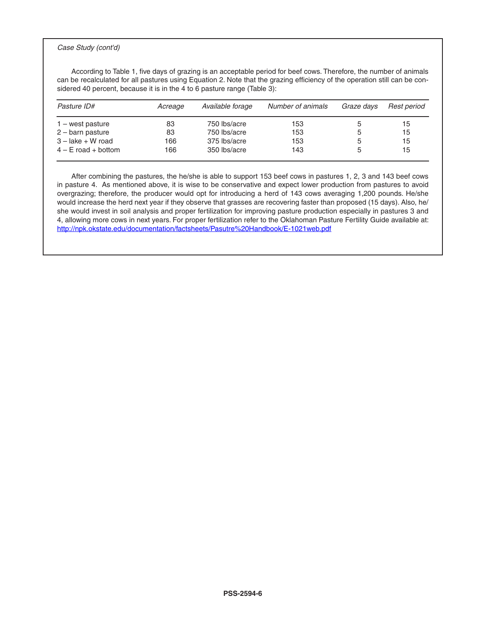#### *Case Study (cont'd)*

According to Table 1, five days of grazing is an acceptable period for beef cows. Therefore, the number of animals can be recalculated for all pastures using Equation 2. Note that the grazing efficiency of the operation still can be considered 40 percent, because it is in the 4 to 6 pasture range (Table 3):

| Pasture ID#           | Acreage | Available forage | Number of animals | Graze days | Rest period |
|-----------------------|---------|------------------|-------------------|------------|-------------|
| $1 -$ west pasture    | 83      | 750 lbs/acre     | 153               | b          | 15          |
| $2$ – barn pasture    | 83      | 750 lbs/acre     | 153               | 5          | 15          |
| $3 -$ lake $+ W$ road | 166     | 375 lbs/acre     | 153               | 5          | 15          |
| $4 - E$ road + bottom | 166     | 350 lbs/acre     | 143               | 5          | 15          |

After combining the pastures, the he/she is able to support 153 beef cows in pastures 1, 2, 3 and 143 beef cows in pasture 4. As mentioned above, it is wise to be conservative and expect lower production from pastures to avoid overgrazing; therefore, the producer would opt for introducing a herd of 143 cows averaging 1,200 pounds. He/she would increase the herd next year if they observe that grasses are recovering faster than proposed (15 days). Also, he/ she would invest in soil analysis and proper fertilization for improving pasture production especially in pastures 3 and 4, allowing more cows in next years. For proper fertilization refer to the Oklahoman Pasture Fertility Guide available at: http://npk.okstate.edu/documentation/factsheets/Pasutre%20Handbook/E-1021web.pdf